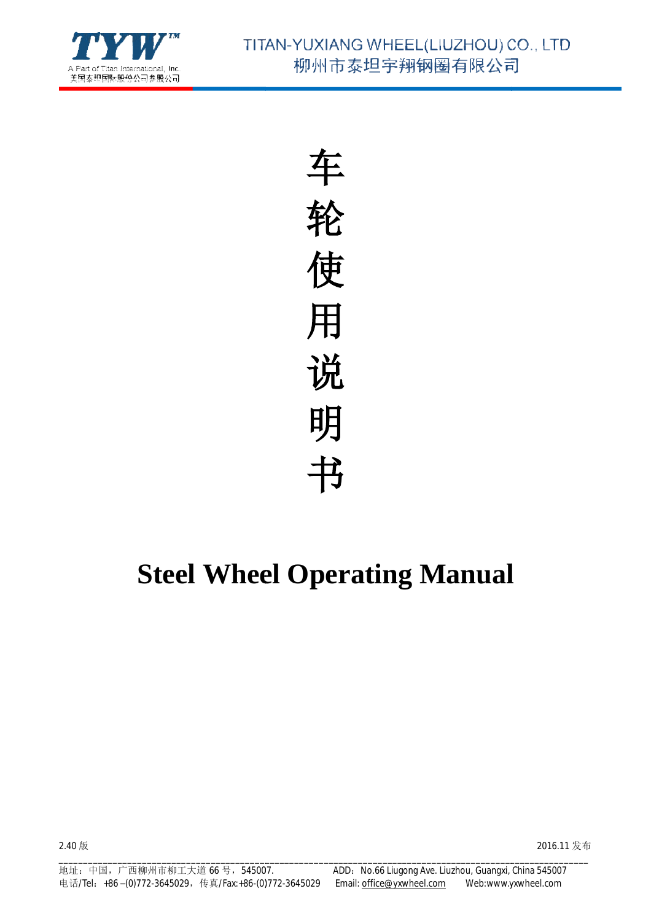

车 轮 使 用 说 明 书

# **Steel Wheel Operating Manual**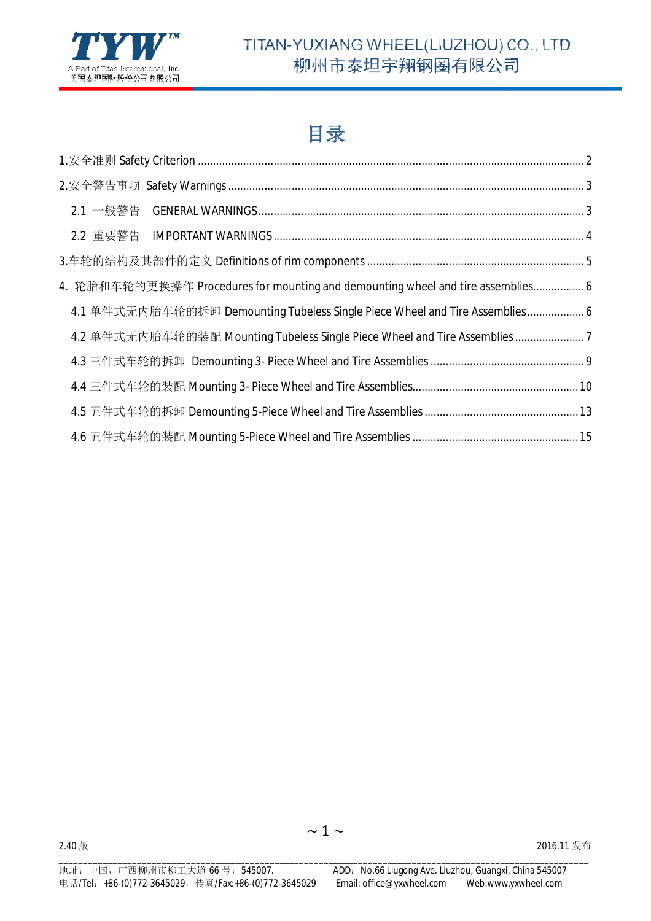

## 目录

| 4. 轮胎和车轮的更换操作 Procedures for mounting and demounting wheel and tire assemblies6 |  |
|---------------------------------------------------------------------------------|--|
| 4.1 单件式无内胎车轮的拆卸 Demounting Tubeless Single Piece Wheel and Tire Assemblies 6    |  |
| 4.2 单件式无内胎车轮的装配 Mounting Tubeless Single Piece Wheel and Tire Assemblies7       |  |
|                                                                                 |  |
|                                                                                 |  |
|                                                                                 |  |
|                                                                                 |  |

 $\sim$  1  $\sim$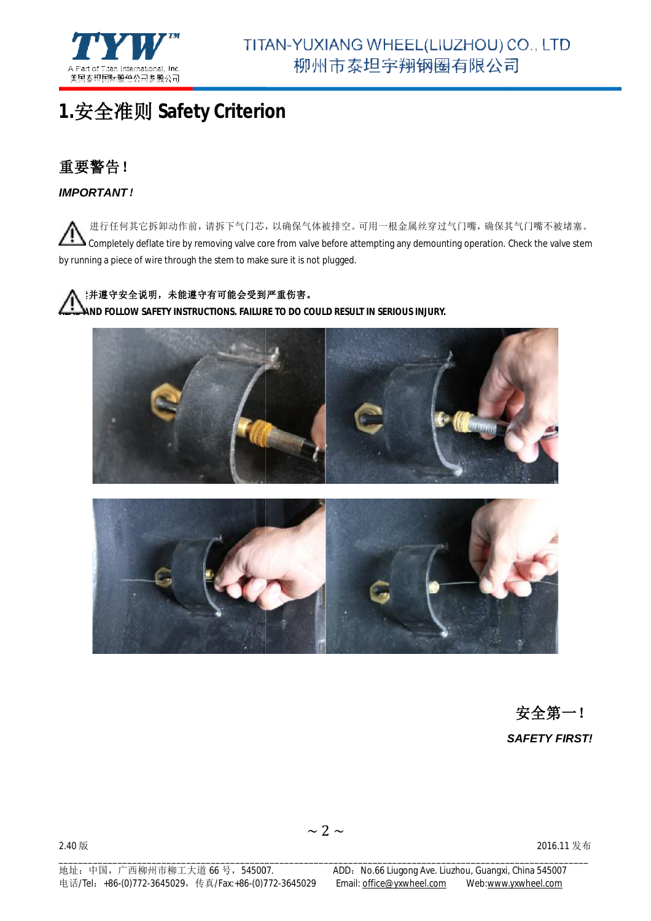

## **1.**安全准则 **Safety Criterion**

### 重要警告!

*IMPORTANT*!

进行任何其它拆卸动作前,请拆下气门芯,以确保气体被排空。 可用一根金属丝穿过气门嘴,确保其气门嘴不被堵塞。 Completely deflate tire by removing valve core from valve before attempting any demounting operation. Check the valve stem by running a piece of wire through the stem to make sure it is not plugged.

#### ■ △ :并遵守安全说明,未能遵守有可能会受到严重伤害。

**READ AND FOLLOW SAFETY INSTRUCTIONS. FAILURE TO DO COULD RESULT IN SERIOUS INJURY. TO INJURY.**





*SAFETY FIRST!* 安全第一!

2.40 版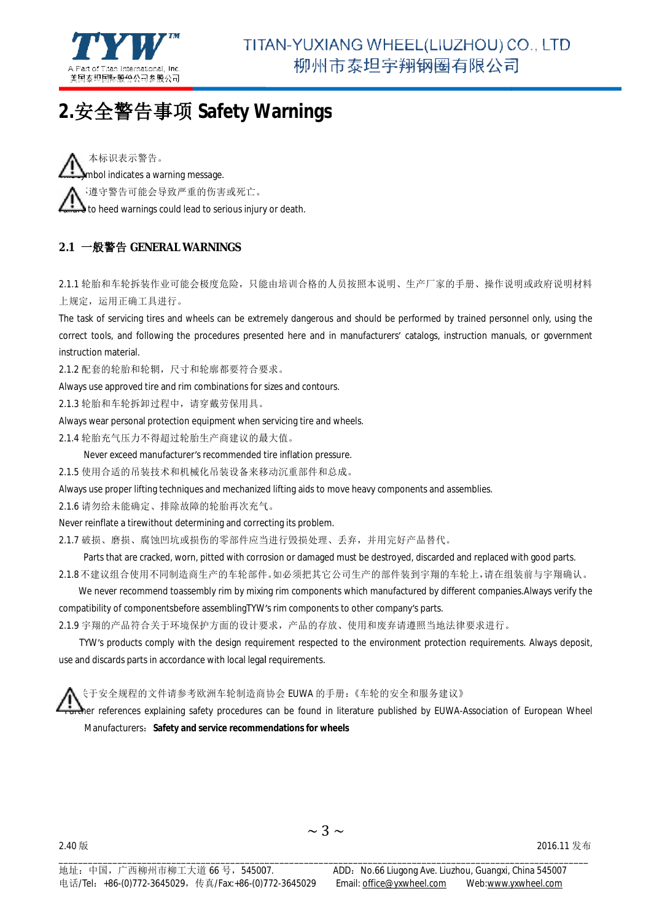

## **2.**安全警告事项 **Safety Warnings**

本标识表示警告。 mbol indicates a warning message. 不遵守警告可能会导致严重的伤害或死亡。 。**famere** to heed warnings could lead to serious injury or death.

#### **2.1** 一般警告 **GENERAL WARNINGS**

2.1.1 轮胎和车轮拆装作业可能会极度危险,只能由培训合格的人员按照本说明、生产厂家的手册、操作说明或政府说明材料 上规定,运用正确工具进行。

The task of servicing tires and wheels can be extremely dangerous and should be performed by trained personnel only, using the correct tools, and following the procedures presented here and in manufacturers' catalogs, instruction manuals, or government instruction material.

2.1.2 配套的轮胎和轮辋,尺寸和轮廓都要符合要求 尺寸和轮廓都要符合要求。

Always use approved tire and rim combinations for sizes and contours.

2.1.3 轮胎和车轮拆卸过程中,请穿戴劳保用具。

Always wear personal protection equipment when servicing tire and wheels.

2.1.4 轮胎充气压力不得超过轮胎生产商建议的最大值 轮胎充气压力不得超过轮胎生产商建议的最大值。

Never exceed manufacturer's recommended tire inflation pressure.

2.1.5 使用合适的吊装技术和机械化吊装设备来移动沉重部件和总成 使用合适的吊装技术和机械化吊装设备来移动沉重部件和总成。

Always use proper lifting techniques and mechanized lifting aids to move heavy components and assemblies.

2.1.6 请勿给未能确定、排除故障的轮胎再次充气 排除故障的轮胎再次充气。

Never reinflate a tirewithout determining and correcting its problem. and correcting itsproblem.

2.1.7 破损、磨损、腐蚀凹坑或损伤的零部件应当进行毁损处理 腐蚀凹坑或损伤的零部件应当进行毁损处理、丢弃,并用完好产品替代。

Parts that are cracked, worn, pitted with corrosion or damaged must be destroyed, discarded and replaced with good parts.

2.1.8不建议组合使用不同制造商生产的部件。如必须把其它公司生产的部件装到宇翔的车轮上,请在组装前与宇翔确认。

We never recommend toassembly rim by mixing rim components which manufactured by different companies.Always verify the compatibility of componentsbefore assemblingTYW's rim components to other company's parts.

2.1.9 宇翔的产品符合关于环境保护方面的设计要求,产品的存放、使用和废弃请遵照当地法律要求进行。

TYW's products comply with the design requirement respected to the environment protection requirements. Always deposit, 'use and discards parts in accordance with local legal requirements. legal requirements.

更多关于安全规程的文件请参考欧洲车轮制造商协会 欧洲车轮制造商协会 EUWA 的手册:《车轮的安全和服务建议》

rurther references explaining safety procedures can be found in literature published by EUWA-Association of European Wheel Manufacturers:**Safety and service recommendations for wheels for wheels**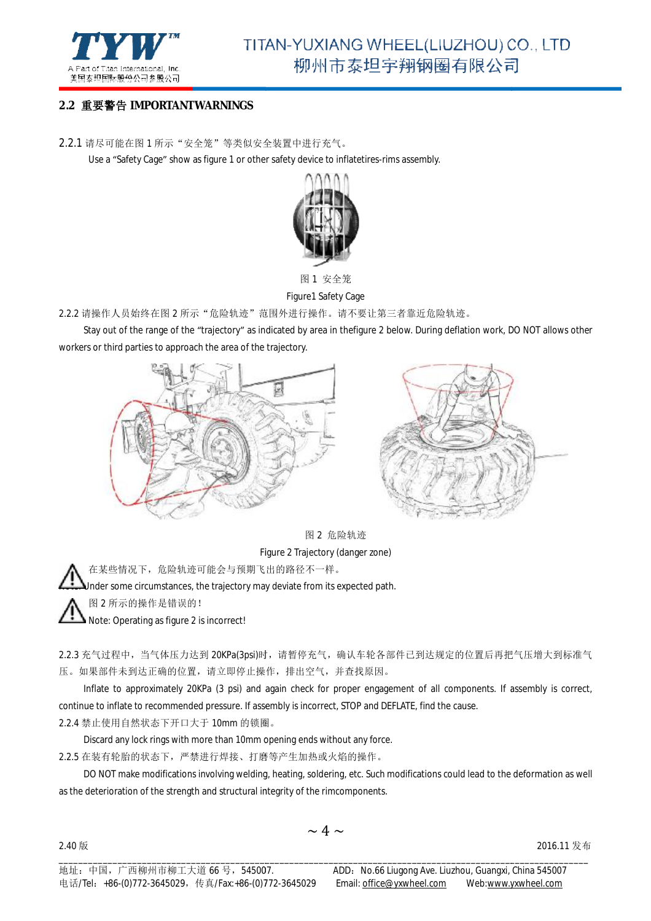

#### **2.2** 重要警告 **IMPORTANTWARNINGS**

2.2.1 请尽可能在图 1 所示"安全笼"等类似安全装置中进行充气。

Use a "Safety Cage" show as figure 1 or other safety device to inflatetires-rims assembly.



图 1 安全笼

Figure1 Safety Cage

2.2.2 请操作人员始终在图 2 所示"危险轨迹"范围外进行操作。请不要让第三者靠近危险轨迹。

Stay out of the range of the "trajectory" as indicated by area in thefigure 2 below. During deflation work, DO NOT allows other workers or third parties to approach the area of the trajectory.





图 2 危险轨迹

Figure 2 Trajectory (danger zone)

△△ 在某些情况下,危险轨迹可能会与预期飞出的路径不一样。

**Acto:** Under some circumstances, the trajectory may deviate from its expected path.

注意:图 2 所示的操作是错误的!

2.40 版

Note: Operating as figure 2 is incorrect!

2.2.3 充气过程中,当气体压力达到 20KPa(3psi)时,请暂停充气,确认车轮各部件已到达规定的位置后再把气压增大到标准气 压。如果部件未到达正确的位置,请立即停止操作 操作,排出空气,并查找原因。

Inflate to approximately 20KPa (3 psi) and again check for proper engagement of all components. If assembly is correct, Inflate to approximately 20KPa (3 psi) and again check for proper engagement of all compone<br>continue to inflate to recommended pressure. If assembly is incorrect, STOP and DEFLATE, find the cause.

2.2.4 禁止使用自然状态下开口大于 10mm 的锁圈。

Discard any lock rings with more than 10mm opening ends without any force.

2.2.5 在装有轮胎的状态下,严禁进行焊接、打磨等产生加热或火焰的操作 打磨等产生加热或火焰的操作。

DO NOT make modifications involving welding, heating, soldering, etc. Such modifications could lead to the deformation as well as the deterioration of the strength and structural integrity of the rimcomponents.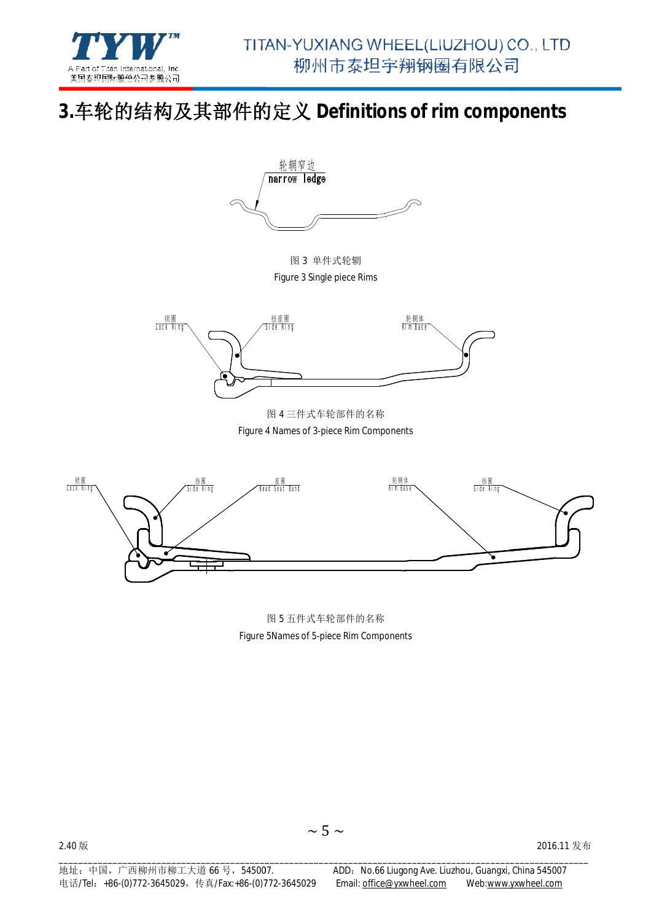

## **3.**车轮的结构及其部件的定义 及其部件的定义 **Definitions of rim components of rim**



图 3 单件式轮辋 Figure 3 Single piece Rims



Figure 4 Names of 3-piece Rim Components 图 4 三件式车轮部件的名称



Figure 5Names of 5-piece Rim Components 图 5 五件式车轮部件的名称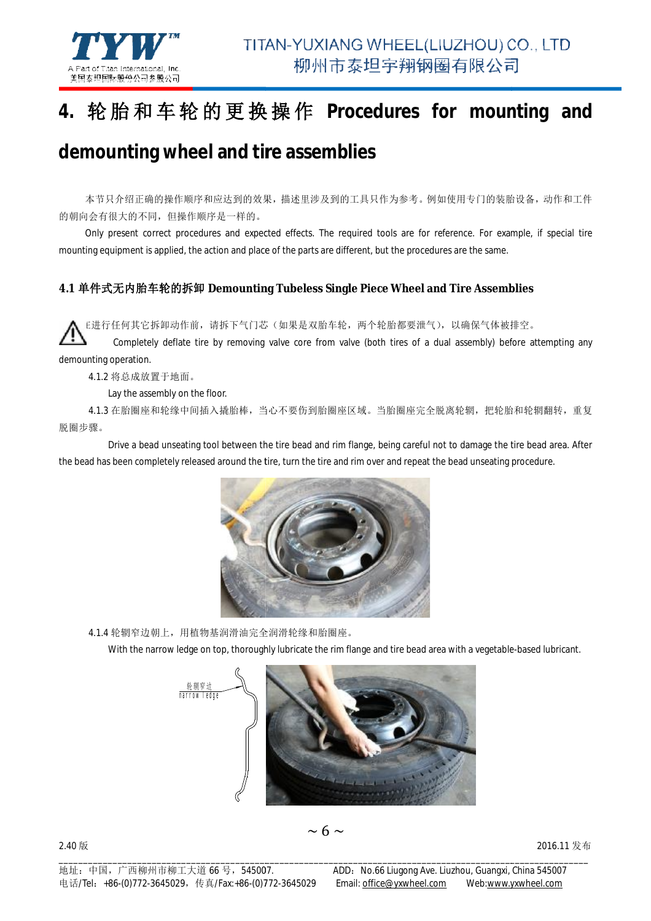

#### **4.** 轮胎和车轮的更换 操 作 **Procedures for mounting and and**

## **demounting wheel and tire tire assemblies**

本节只介绍正确的操作顺序和应达到的效果,描述里涉及到的工具只作为参考。例如使用专门的装胎设备,动作和工件 的朝向会有很大的不同,但操作顺序是一样的。 。

Only present correct procedures and expected effects. The required tools are for reference. For example, if special tire Only present correct procedures and expected effects. The required tools are for reference. For exa<br>mounting equipment is applied, the action and place of the parts are different, but the procedures are the same.

#### **4.1** 单件式无内胎车轮的拆卸 **Demounting Tubeless Single Piece Wheel and Tire Assemblies**

▶▶ E进行任何其它拆卸动作前,请拆下气门芯(如果是双胎车轮,两个轮胎都要泄气),以确保气体被排空。

Completely deflate tire by removing valve core from valve (both tires of a dual assembly) before attempting any demounting operation.

4.1.2 将总成放置于地面。

Lay the assembly on the floor.

4.1.3 在胎圈座和轮缘中间插入撬胎棒,当心不要伤到胎圈座区域。当胎圈座完全脱离轮辋,把轮胎和轮辋翻转,重复 脱圈步骤。

Drive a bead unseating tool between the tire bead and rim flange, being careful not to damage the tire bead area. After the bead has been completely released around the tire, turn the tire and rim over and repeat the bead unseating procedure.



4.1.4 轮辋窄边朝上,用植物基润滑油完全润滑轮缘和胎圈座 用植物基润滑油完全润滑轮缘和胎圈座。

With the narrow ledge on top, thoroughly lubricate the rim flange and tire bead area with a vegetable-based lubricant.



2.40 版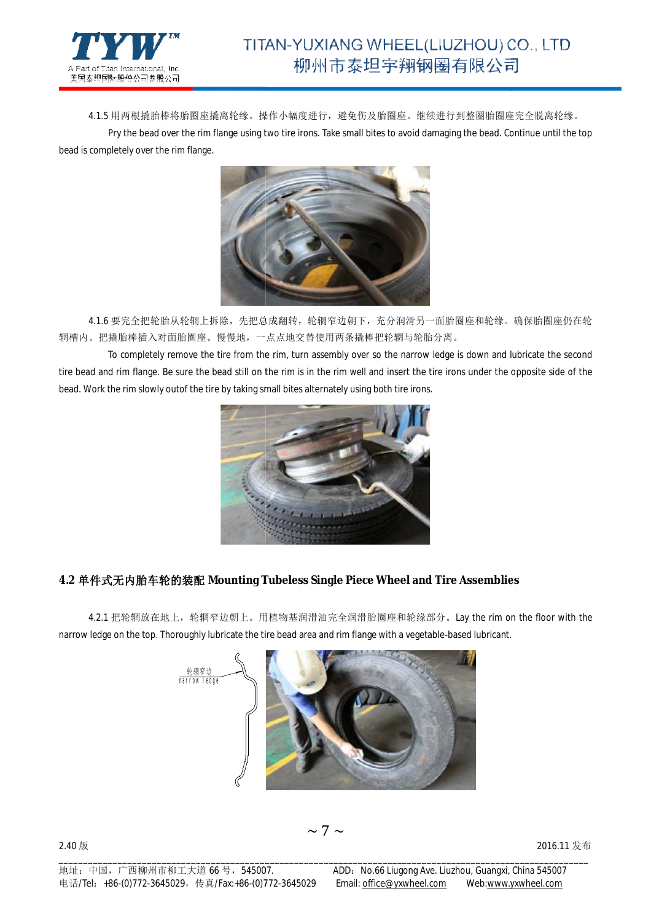

4.1.5 用两根撬胎棒将胎圈座撬弯。操作小幅度进行,避免伤及胎圈座。继续进行到整圈胎圈座完全脱离轮缘。 Pry the bead over the rim flange using two tire irons. Take small bites to avoid damaging the bead. Continue until the top bead is completely over the rim flange.



4.1.6 要完全把轮胎从轮辋上拆除,先把总成翻转,轮辋窄边朝下,充分润滑另一面胎圈座和轮缘。确保胎圈座仍在轮 辋槽内。把撬胎棒插入对面胎圈座。慢慢地,一点点地交替使用两条撬棒把轮辋与轮胎分离 一点点地交替使用两条撬棒把轮辋与轮胎分离。

To completely remove the tire from the rim, turn assembly over so the narrow ledge is down and lubricate the second tire bead and rim flange. Be sure the bead still on the rim is in the rim well and insert the tire irons under the opposite side of the bead. Work the rim slowly outof the tire by taking small bites alternately using both tire irons.



#### **4.2** 单件式无内胎车轮的装配 **Mounting Tubeless Single Piece Wheel and Tire Assemblies Single**

4.2.1 把轮辋放在地上,轮辋窄边朝上。用植物基润滑油完全润滑胎圈座和轮缘部分。Lay the rim on the floor with the narrow ledge on the top. Thoroughly lubricate the tire bead area and rim flange with a vegetable-based lubricant.

\_\_\_\_\_\_\_\_\_\_\_\_\_\_\_\_\_\_\_\_\_\_\_\_\_\_\_\_\_\_\_\_\_\_\_\_\_\_\_\_\_\_\_\_\_\_\_\_\_\_\_\_\_\_\_\_\_\_\_\_\_\_\_\_\_\_\_\_\_\_\_\_\_\_\_\_\_\_\_\_\_\_\_\_\_\_\_\_\_\_\_\_\_\_\_\_\_\_\_\_\_\_\_\_\_\_\_\_

 $\sim$  7  $\sim$ 



2.40 版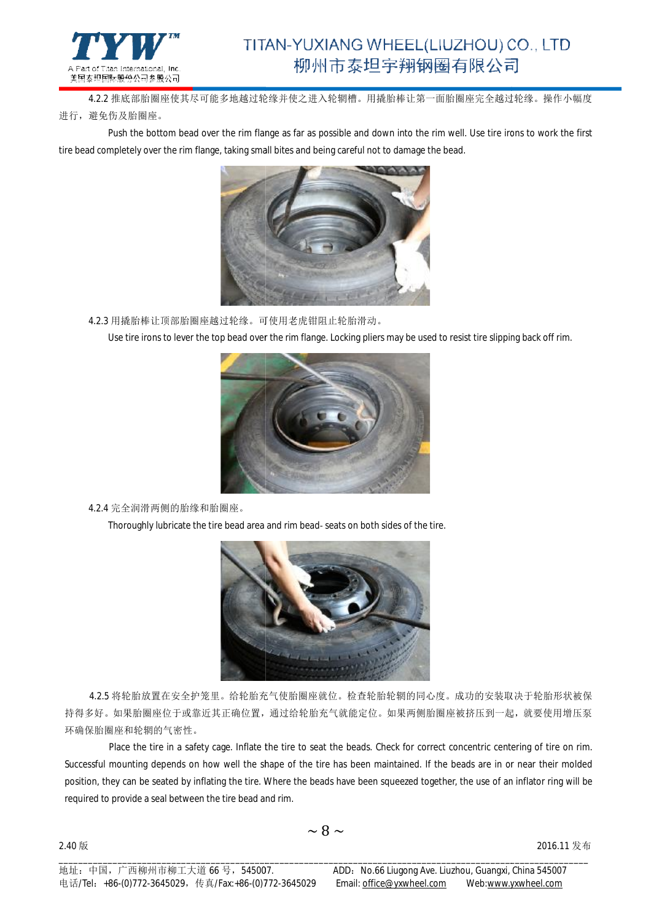

4.2.2 推底部胎圈座使其尽可能多地越过轮缘 推底部胎圈座使其尽可能多地越过轮缘并使之进入轮辋槽。用撬胎棒让第一面胎圈座完全越过轮缘 用撬胎棒让第一面胎圈座完全越过轮缘。操作小幅度 进行,避免伤及胎圈座。

Push the bottom bead over the rim flange as far as possible and down into the rim well. Use tire irons to work the first tire bead completely over the rim flange, taking small bites and being careful not to damage the bead.



4.2.3 用撬胎棒让顶部胎圈座越过轮缘。可使用老虎钳阻止轮胎滑动。

Use tire irons to lever the top bead over the rim flange. Locking pliers may be used to resist tire slipping back off rim.



4.2.4 完全润滑两侧的胎缘和胎圈座。

Thoroughly lubricate the tire bead area and rim bead- seats on both sides of the tire.



4.2.5 将轮胎放置在安全护笼里。给轮胎充气使胎圈座就位 给轮胎充气使胎圈座就位。检查轮胎轮辋的同心度。成功的安装取决于轮胎形状被保 4.2.5 将轮胎放置在安全护笼里。给轮胎充气使胎圈座就位。检查轮胎轮辋的同心度。成功的安装取决于轮胎形状被保<br>持得多好。如果胎圈座位于或靠近其正确位置,通过给轮胎充气就能定位。如果两侧胎圈座被挤压到一起,就要使用增压泵 环确保胎圈座和轮辋的气密性。

Place the tire in a safety cage. Inflate the tire to seat the beads. Check for correct concentric centering of tire on rim. Place the tire in a safety cage. Inflate the tire to seat the beads. Check for correct concentric centering of tire on rim.<br>Successful mounting depends on how well the shape of the tire has been maintained. If the beads ar position, they can be seated by inflating the tire. Where the beads have been squeezed together, the use of an inflator ring will be<br>required to provide a seal between the tire bead and rim. required to provide a seal between the tire bead and rim.

\_\_\_\_\_\_\_\_\_\_\_\_\_\_\_\_\_\_\_\_\_\_\_\_\_\_\_\_\_\_\_\_\_\_\_\_\_\_\_\_\_\_\_\_\_\_\_\_\_\_\_\_\_\_\_\_\_\_\_\_\_\_\_\_\_\_\_\_\_\_\_\_\_\_\_\_\_\_\_\_\_\_\_\_\_\_\_\_\_\_\_\_\_\_\_\_\_\_\_\_\_\_\_\_\_\_\_\_

2.40 版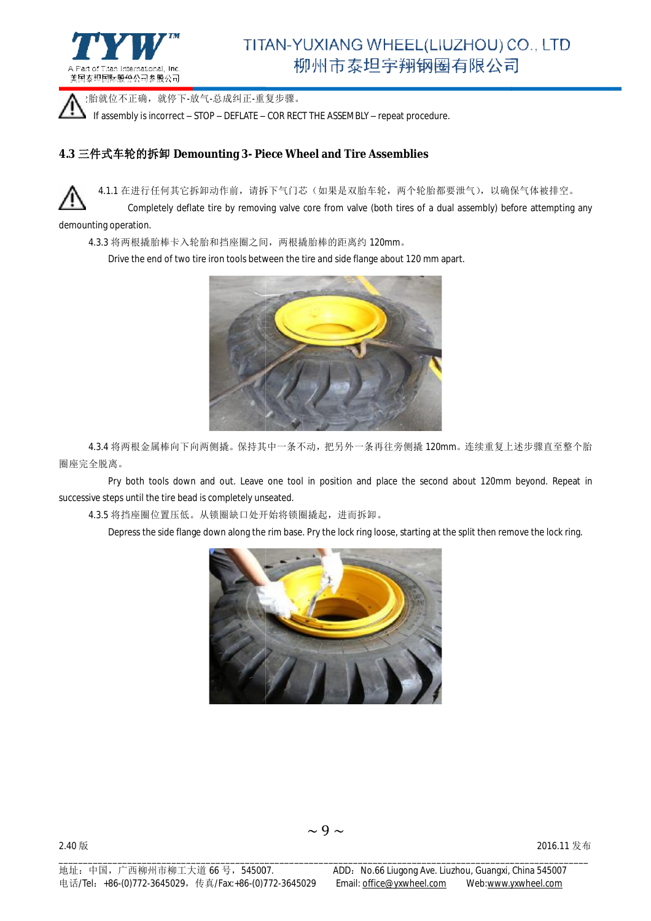

▲ .胎就位不正确, 就停下-放气-总成纠正-重复步骤。

If assembly is incorrect – STOP – DEFLATE – COR RECT THE ASSEMBLY – repeat procedure.

#### **4.3** 三件式车轮的拆卸 **Demounting 3- Piece Wheel and Tire Assemblies Piece Wheel Tire**



4.1.1 在进行任何其它拆卸动作前,请拆下气门芯(如果是双胎车轮,两个轮胎都要泄气),以确保气体被排空。

Completely deflate tire by removing valve core from valve (both tires of a dual assembly) before attempting any demounting operation.

4.3.3 将两根撬胎棒卡入轮胎和挡座圈之间 圈之间,两根撬胎棒的距离约 120mm。

Drive the end of two tire iron tools between the tire and side flange about 120 mm apart.



4.3.4 将两根金属棒向下向两侧撬。保持其中一条不动, 把另外一条再往旁侧撬 120mm。连续重复上述步骤直至整个胎 圈座完全脱离。

Pry both tools down and out. Leave one tool in position and place the second about 120mm beyond. Repeat in successive steps until the tire bead is completely unseated.

4.3.5 将挡座圈位置压低。从锁圈缺口处开始将锁圈撬起 从锁圈缺口处开始将锁圈撬起,进而拆卸。

Depress the side flange down along the rim base. Pry the lock ring loose, starting at the split then remove the lock ring.

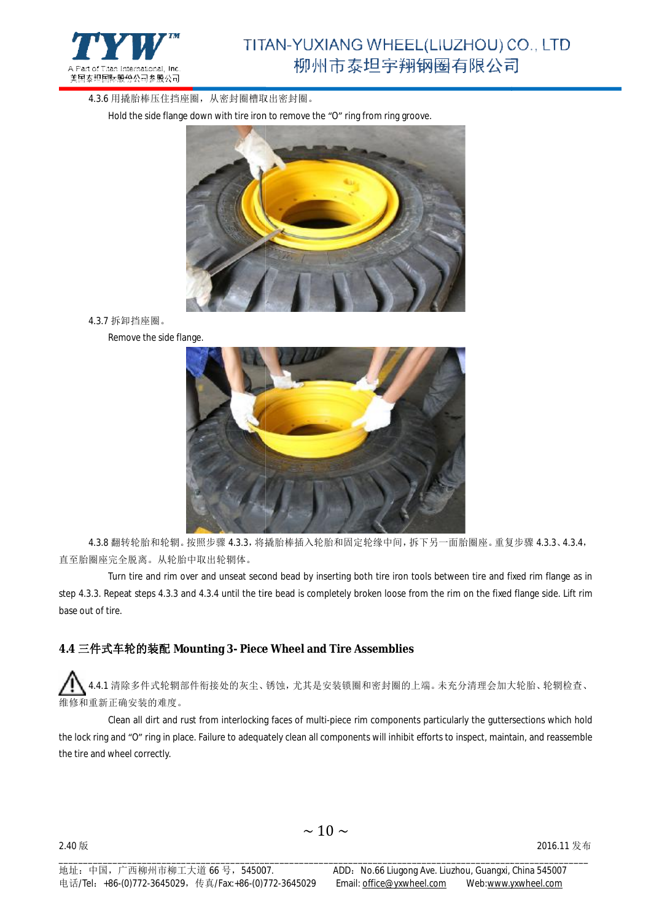

4.3.6 用撬胎棒压住挡座圈, 从密封圈槽取出密封圈。

Hold the side flange down with tire iron to remove the "O" ring from ring groove.



4.3.7 拆卸挡座圈。

Remove the side flange.



4.3.8 翻转轮胎和轮辋。按照步骤 4.3.3, 将撬胎棒插入轮胎和固定轮缘中间, 拆下另一面胎圈座。重复步骤 4.3.3、4.3.4, 直至胎圈座完全脱离。从轮胎中取出轮辋体。

Turn tire and rim over and unseat second bead by inserting both tire iron tools between tire and fixed rim flange as in step 4.3.3. Repeat steps 4.3.3 and 4.3.4 until the tire bead is completely broken loose from the rim on the fixed flange side. Lift rim base out of tire.

#### **4.4** 三件式车轮的装配 **Mounting 3- Piece Wheel and Tire Assemblies and**

4.4.1 清除多件式轮辋部件衔接处的灰尘、锈蚀,尤其是安装锁圈和密封圈的上端。未充分清理会加大轮胎、轮辋检查、 维修和重新正确安装的难度。

Clean all dirt and rust from interlocking faces of multi-piece rim components particularly the guttersections which hold the lock ring and "O" ring in place. Failure to adequately clean all components will inhibit efforts to inspect, maintain, and reassemble the tire and wheel correctly.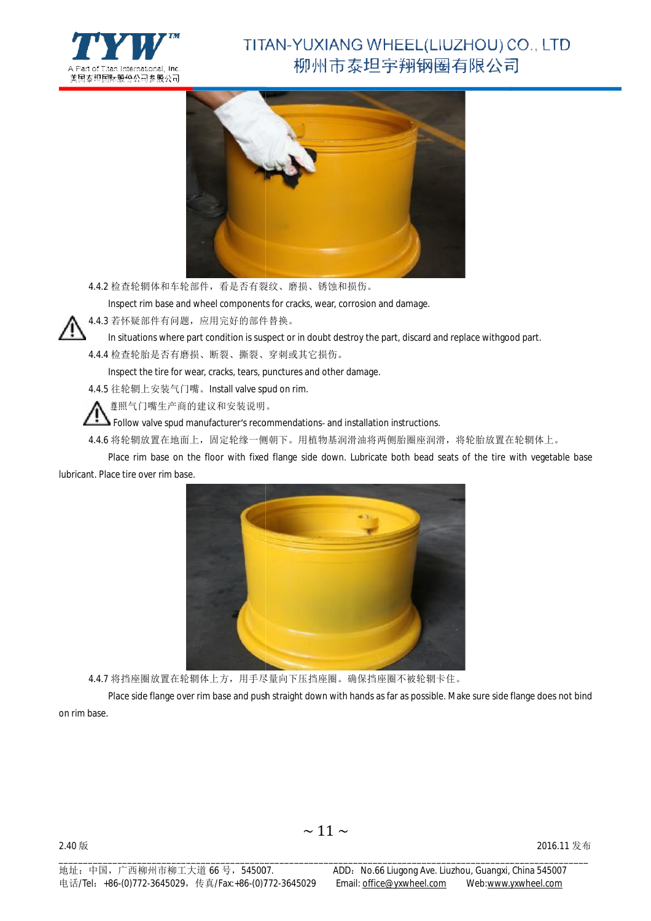



4.4.2 检查轮辋体和车轮部件,看是否有裂纹 看是否有裂纹、磨损、锈蚀和损伤。

Inspect rim base and wheel components for cracks, wear, corrosion and damage.

4.4.3 若怀疑部件有问题,应用完好的部件替换 应用完好的部件替换。

In situations where part condition is suspect or in doubt destroy the part, discard and replace withgood part.

4.4.4 检查轮胎是否有磨损、断裂、撕裂、 、穿刺或其它损伤。

Inspect the tire for wear, cracks, tears, punctures and other damage.<br>往轮辋上安装气门嘴。Install valve spud on rim.

4.4.5 往轮辋上安装气门嘴。Install valve spud on rim.

遵照气门嘴生产商的建议和安装说明 遵照气门嘴生产商的建议和安装说明。

Follow valve spud manufacturer's recommendations- and installation instructions.

4.4.6 将轮辋放置在地面上,固定轮缘一侧朝下。用植物基润滑油将两侧胎圈座润滑,将轮胎放置在轮辋体上。

Place rim base on the floor with fixed flange side down. Lubricate both bead seats of the tire with vegetable base lubricant. Place tire over rim base.



4.4.7 将挡座圈放置在轮辋体上方,用手尽量向下压挡座圈 用手尽量向下压挡座圈。确保挡座圈不被轮辋卡住。

Place side flange over rim base and push straight down with hands as far as possible. Make sure side flange does not bind on rim base.

2016.11 发布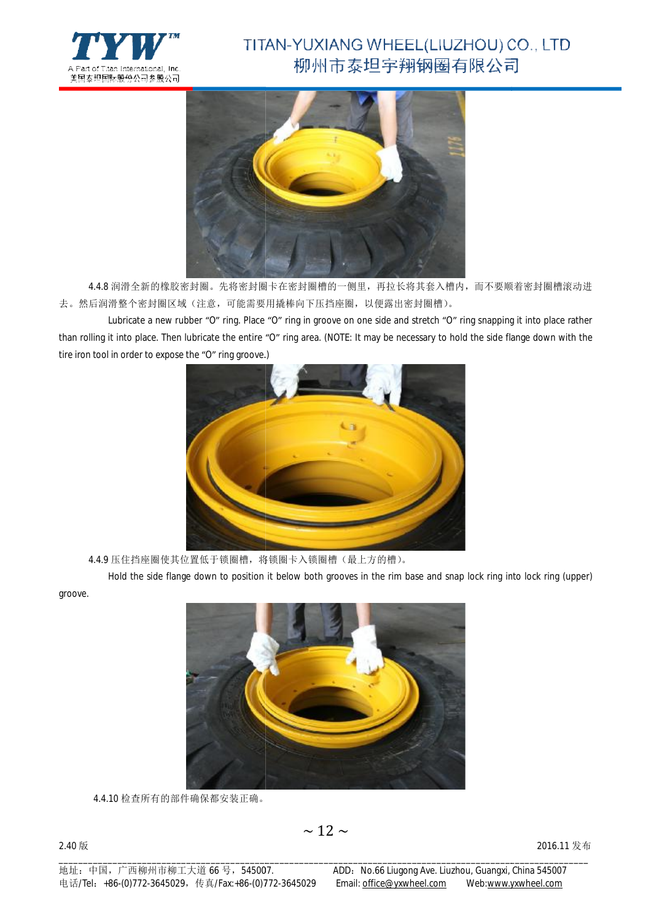



4.4.8 润滑全新的橡胶密封圈。先将密封圈干在密封圈槽的一侧里,再拉长将其套入槽内,而不要顺着密封圈槽滚动进 去。然后润滑整个密封圈区域(注意,可能需要用撬棒向下压挡座圈 可能需要用撬棒向下压挡座圈,以便露出密封圈槽)。

Lubricate a new rubber "O" ring. Place "O" ring in groove on one side and stretch "O" ring snapping it into place rather than rolling it into place. Then lubricate the entire "O" ring area. (NOTE: It may be necessary to hold the side flange down with the tire iron tool in order to expose the "O" ring groove.)



4.4.9 压住挡座圈使其位置低于锁圈槽,将锁圈卡入锁圈槽 将锁圈卡入锁圈槽(最上方的槽)。

Hold the side flange down to position it below both grooves in the rim base and snap lock ring into lock ring (upper)

groove.



4.4.10 检查所有的部件确保都安装正确。 。

2.40 版

\_\_\_\_\_\_\_\_\_\_\_\_\_\_\_\_\_\_\_\_\_\_\_\_\_\_\_\_\_\_\_\_\_\_\_\_\_\_\_\_\_\_\_\_\_\_\_\_\_\_\_\_\_\_\_\_\_\_\_\_\_\_\_\_\_\_\_\_\_\_\_\_\_\_\_\_\_\_\_\_\_\_\_\_\_\_\_\_\_\_\_\_\_\_\_\_\_\_\_\_\_\_\_\_\_\_\_\_

2016.11 发布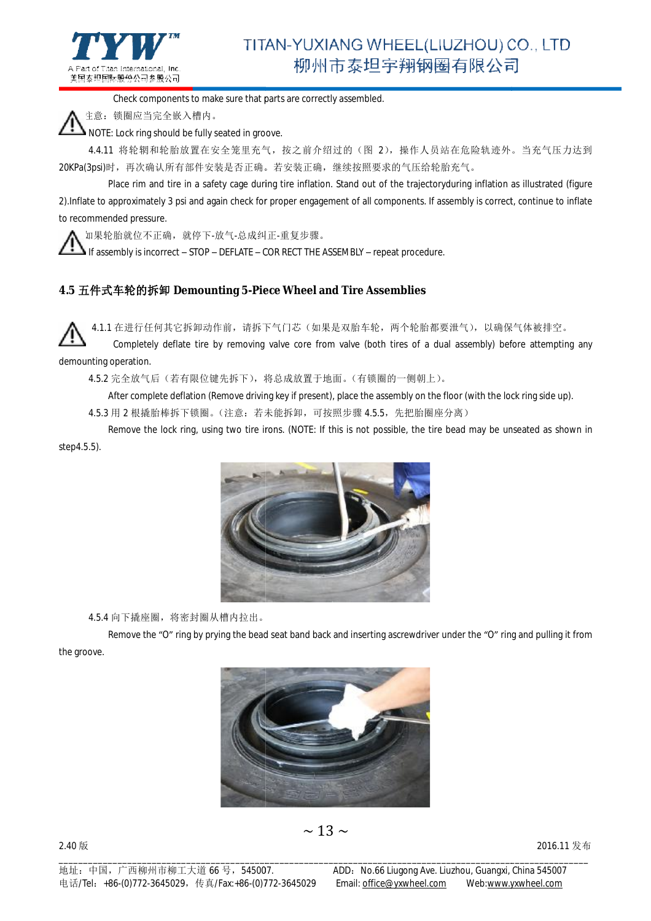

Check components to make sure that parts are correctly assembled.

注意:锁圈应当完全嵌入槽内。

NOTE: Lock ring should be fully seated in groove.

4.4.11 将轮辋和轮胎放置在安全笼里充气,按之前介绍过的(图 2),操作人员站在危险轨迹外。当充气压力达到 20KPa(3psi)时,再次确认所有部件安装是否正确。若安装正确,继续按照要求的气压给轮胎充气。

Place rim and tire in a safety cage during tire inflation. Stand out of the trajectoryduring inflation as illustrated (figure 2).Inflate to approximately 3 psi and again check for proper engagement of all components. If assembly is correct, continue to inflate to recommended pressure.

如果轮胎就位不正确,就停下-放气-总成纠正 -重复步骤。

If assembly is incorrect – STOP – DEFLATE – COR RECT THE ASSEMBLY – repeat procedure.

#### **4.5** 五件式车轮的拆卸 **Demounting 5-Piece Wheel and Tire Assemblies Piece**

4.1.1 在进行任何其它拆卸动作前,请拆下气门芯(如果是双胎车轮,两个轮胎都要泄气),以确保气体被排空。

Completely deflate tire by removing valve core from valve (both tires of a dual assembly) before attempting any demounting operation.

4.5.2 完全放气后(若有限位键先拆下),将总成放置于地面 将总成放置于地面。(有锁圈的一侧朝上)。

After complete deflation (Remove driving key if present), place the assembly on the floor (with the lock ring side up).

4.5.3 用 2 根撬胎棒拆下锁圈。(注意: 若未能拆卸, 可按照步骤 4.5.5, 先把胎圈座分离)

Remove the lock ring, using two tire irons. (NOTE: If this is not possible, the tire bead may be unseated as shown in step4.5.5).



4.5.4 向下撬座圈, 将密封圈从槽内拉出。

Remove the "O" ring by prying the bead seat band back and inserting ascrewdriver under the "O" ring and pulling it from the groove.



\_\_\_\_\_\_\_\_\_\_\_\_\_\_\_\_\_\_\_\_\_\_\_\_\_\_\_\_\_\_\_\_\_\_\_\_\_\_\_\_\_\_\_\_\_\_\_\_\_\_\_\_\_\_\_\_\_\_\_\_\_\_\_\_\_\_\_\_\_\_\_\_\_\_\_\_\_\_\_\_\_\_\_\_\_\_\_\_\_\_\_\_\_\_\_\_\_\_\_\_\_\_\_\_\_\_\_\_

 $\sim$  13  $\sim$ 

2.40 版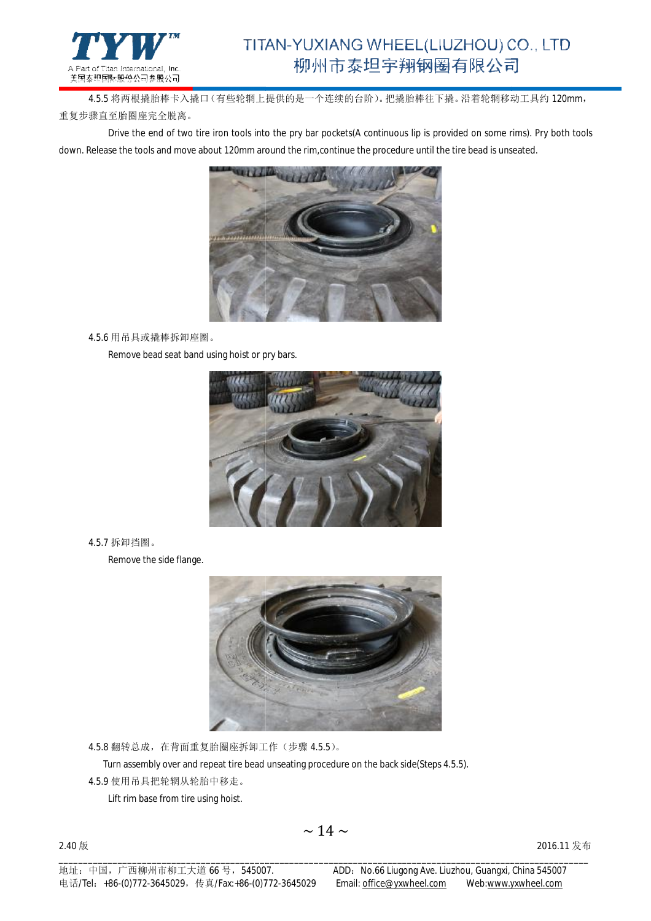

4.5.5 将两根撬胎棒卡入撬口(有些轮辋上提供的是一个连续的台阶)。 把撬胎棒往下撬。沿着轮辋移动工具约 120mm, 重复步骤直至胎圈座完全脱离。

Drive the end of two tire iron tools into the pry bar pockets(A continuous lip is provided on some rims). Pry both tools down. Release the tools and move about 120mm around the rim,continue the procedure until the tire bead is unseated.



4.5.6 用吊具或撬棒拆卸座圈。

Remove bead seat band using hoist or pry bars.



4.5.7 拆卸挡圈。

Remove the side flange.



4.5.8 翻转总成,在背面重复胎圈座拆卸工作 在背面重复胎圈座拆卸工作(步骤 4.5.5)。

Turn assembly over and repeat tire bead unseating procedure on the back side(Steps 4.5.5).

4.5.9 使用吊具把轮辋从轮胎中移走。

2.40 版

Lift rim base from tire using hoist.

\_\_\_\_\_\_\_\_\_\_\_\_\_\_\_\_\_\_\_\_\_\_\_\_\_\_\_\_\_\_\_\_\_\_\_\_\_\_\_\_\_\_\_\_\_\_\_\_\_\_\_\_\_\_\_\_\_\_\_\_\_\_\_\_\_\_\_\_\_\_\_\_\_\_\_\_\_\_\_\_\_\_\_\_\_\_\_\_\_\_\_\_\_\_\_\_\_\_\_\_\_\_\_\_\_\_\_\_

2016.11 发布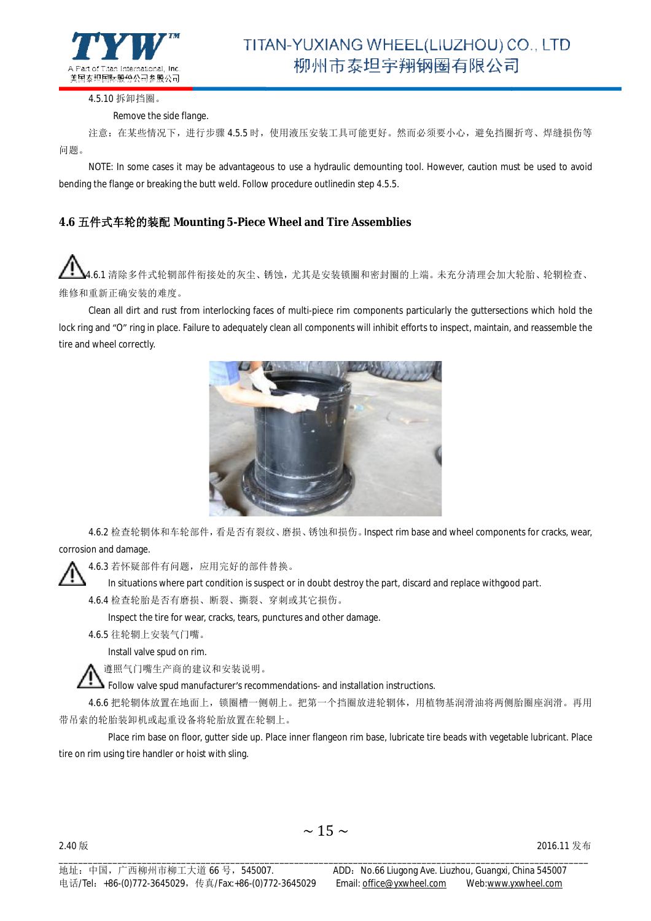

4.5.10 拆卸挡圈。

#### Remove the side flange.

注意:在某些情况下,进行步骤 4.5.5 时,使用液压安装工具可能更好。然而必须要小心,避免挡圈折弯、焊缝损伤等 问题。

NOTE: In some cases it may be advantageous to use a hydraulic demounting tool. However, caution must be used to avoid<br>bending the flange or breaking the butt weld. Follow procedure outlinedin step 4.5.5. bending the flange or breaking the butt weld. Follow procedure outlinedin step 4.5.5.

#### **4.6** 五件式车轮的装配 **Mounting 5-Piece Wheel and Tire Assemblies Piece**

4.6.1 清除多件式轮辋部件衔接处的灰尘、锈蚀,尤其是安装锁圈和密封圈的上端。未充分清理会加大轮胎、轮辋检查、 维修和重新正确安装的难度。

Clean all dirt and rust from interlocking faces of multi-piece rim components particularly the guttersections which hold the lock ring and "O" ring in place. Failure to adequately clean all components will inhibit efforts to inspect, maintain, and reassemble the tire and wheel correctly.



4.6.2 检查轮辋体和车轮部件, 看是否有裂纹、磨损、锈蚀和损伤。 Inspect rim base and wheel components for cracks, wear, corrosion and damage.

4.6.3 若怀疑部件有问题,应用完好的部件替换 应用完好的部件替换。

In situations where part condition is suspect or in doubt destroy the part, discard and replace withgood part.

4.6.4 检查轮胎是否有磨损、断裂、撕裂、 、穿刺或其它损伤。

Inspect the tire for wear, cracks, tears, punctures and other damage.

4.6.5 往轮辋上安装气门嘴。

Install valve spud on rim.

遵照气门嘴生产商的建议和安装说明。 。

Follow valve spud manufacturer's recommendations- and installation instructions.

4.6.6 把轮辋体放置在地面上,锁圈槽一侧朝上。把第一个挡圈放进轮辋体,用植物基润滑油将两侧胎圈座润滑。再用 带吊索的轮胎装卸机或起重设备将轮胎放置在轮辋上 带吊索的轮胎装卸机或起重设备将轮胎放置在轮辋上。

Place rim base on floor, gutter side up. Place inner flangeon rim base, lubricate tire beads with vegetable lubricant. Place tire on rim using tire handler or hoist with sling.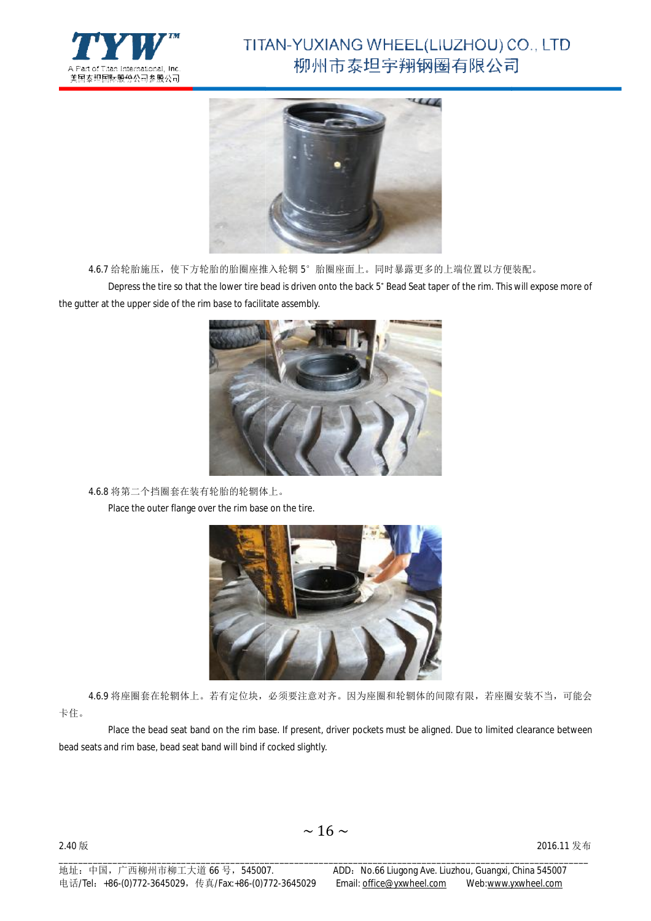



4.6.7 给轮胎施压,使下方轮胎的胎圈座推入轮辋 5°胎圈座面上。同时暴露更多的上端位置以方便装配。

Depress the tire so that the lower tire bead is driven onto the back 5° Bead Seat taper of the rim. This will expose more of the gutter at the upper side of the rim base to facilitate assembly.



4.6.8 将第二个挡圈套在装有轮胎的轮辋体上 将第二个挡圈套在装有轮胎的轮辋体上。

Place the outer flange over the rim base on the tire.



4.6.9 将座圈套在轮辋体上。若有定位块,必须要注意对齐。因为座圈和轮辋体的间隙有限,若座圈安装不当,可能会 卡住。

Place the bead seat band on the rim base. If present, driver pockets must be aligned. Due to limited clearance between bead seats and rim base, bead seat band will bind if cocked slightly. band will bind if cocked slightly. $\sim 16 \sim$ 2016.11 发布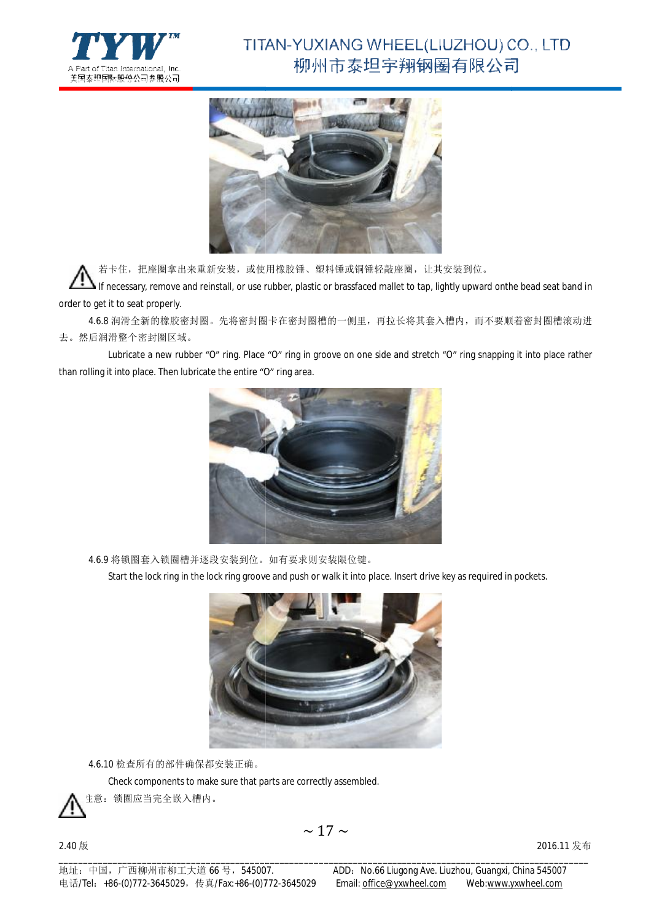



若卡住,把座圈拿出来重新交装,或使用橡胶锤、塑料锤或铜锤轻敲座圈,让其安装到位。

If necessary, remove and reinstall, or use rubber, plastic or brassfaced mallet to tap, lightly upward onthe bead seat band in order to get it to seat properly.

4.6.8 润滑全新的橡胶密封圈。先将密封圈干在密封圈槽的一侧里,再拉长将其套入槽内,而不要顺着密封圈槽滚动进 去。然后润滑整个密封圈区域。

Lubricate a new rubber "O" ring. Place "O" ring in groove on one side and stretch "O" ring snapping it into place rather than rolling it into place. Then lubricate the entire "O" ring area.



4.6.9 将锁圈套入锁圈槽并逐段安装到位。如有要求则安装限位键。

Start the lock ring in the lock ring groove and push or walk it into place. Insert drive key as required in pockets.



4.6.10 检查所有的部件确保都安装正确。

Check components to make sure that parts are correctly assembled.



2.40 版

\_\_\_\_\_\_\_\_\_\_\_\_\_\_\_\_\_\_\_\_\_\_\_\_\_\_\_\_\_\_\_\_\_\_\_\_\_\_\_\_\_\_\_\_\_\_\_\_\_\_\_\_\_\_\_\_\_\_\_\_\_\_\_\_\_\_\_\_\_\_\_\_\_\_\_\_\_\_\_\_\_\_\_\_\_\_\_\_\_\_\_\_\_\_\_\_\_\_\_\_\_\_\_\_\_\_\_\_

2016.11 发布